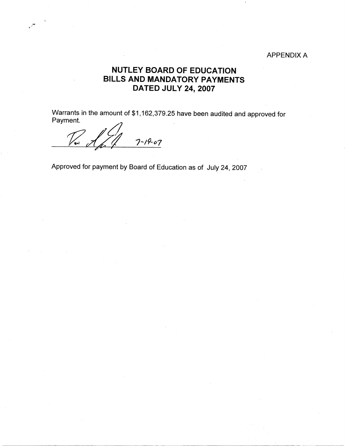## APPENDIX A

## **NUTLEY BOARD OF EDUCATION BILLS AND MANDATORY PAYMENTS DATED JULY 24, 2007**

Warrants in the amount of \$1,162,379.25 have been audited and approved for<br>Payment.

*1?* **Qf** *1-19--07* 

 $\mathcal{A}$ 

Approved for payment by Board of Education as of July 24, 2007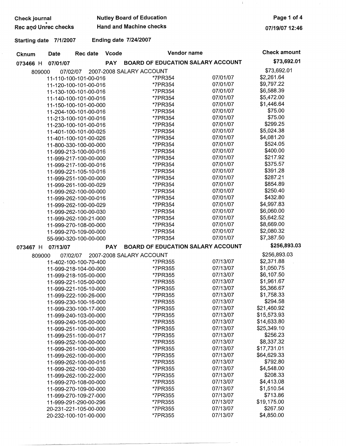| Check journal        | <b>Nutley Board of Education</b> |  |  |
|----------------------|----------------------------------|--|--|
| Rec and Unrec checks | <b>Hand and Machine checks</b>   |  |  |

**Page 1 of 4** 

**07/19/0712:46** 

 $\mathbf{I}$ 

## **Starting date 7/1/2007 Ending date 7/24/2007**

20-231-221-105-00-000

20-232-100-101-00-000 \*7PR355

| Cknum    | <b>Date</b>                                    | Rec date | Vcode      | Vendor name                              |          | <b>Check amount</b> |
|----------|------------------------------------------------|----------|------------|------------------------------------------|----------|---------------------|
| 073466 H | 07/01/07                                       |          | <b>PAY</b> | <b>BOARD OF EDUCATION SALARY ACCOUNT</b> |          | \$73,692.01         |
| 809000   | 07/02/07                                       |          |            | 2007-2008 SALARY ACCOUNT                 |          | \$73,692.01         |
|          | 11-110-100-101-00-016                          |          |            | *7PR354                                  | 07/01/07 | \$2,261.64          |
|          | 11-120-100-101-00-016                          |          |            | *7PR354                                  | 07/01/07 | \$9,797.22          |
|          | 11-130-100-101-00-016                          |          |            | *7PR354                                  | 07/01/07 | \$6,588.39          |
|          | 11-140-100-101-00-016                          |          |            | *7PR354                                  | 07/01/07 | \$5,472.00          |
|          | 11-150-100-101-00-000                          |          |            | *7PR354                                  | 07/01/07 | \$1,446.64          |
|          | 11-204-100-101-00-016                          |          |            | *7PR354                                  | 07/01/07 | \$75.00             |
|          | 11-213-100-101-00-016                          |          |            | *7PR354                                  | 07/01/07 | \$75.00             |
|          | 11-230-100-101-00-016                          |          |            | *7PR354                                  | 07/01/07 | \$299.25            |
|          | 11-401-100-101-00-025                          |          |            | *7PR354                                  | 07/01/07 | \$5,024.38          |
|          | 11-401-100-101-00-026                          |          |            | *7PR354                                  | 07/01/07 | \$4,081.20          |
|          | 11-800-330-100-00-000                          |          |            | *7PR354                                  | 07/01/07 | \$524.05            |
|          | 11-999-213-100-00-016                          |          |            | *7PR354                                  | 07/01/07 | \$400.00            |
|          | 11-999-217-100-00-000                          |          |            | *7PR354                                  | 07/01/07 | \$217.92            |
|          | 11-999-217-100-00-016                          |          |            | *7PR354                                  | 07/01/07 | \$375.57            |
|          | 11-999-221-105-10-016                          |          |            | *7PR354                                  | 07/01/07 | \$391.28            |
|          | 11-999-251-100-00-000                          |          |            | *7PR354                                  | 07/01/07 | \$287.21            |
|          | 11-999-261-100-00-029                          |          |            | *7PR354                                  | 07/01/07 | \$854.89            |
|          |                                                |          |            | *7PR354                                  | 07/01/07 | \$250.40            |
|          | 11-999-262-100-00-000<br>11-999-262-100-00-016 |          |            | *7PR354                                  | 07/01/07 | \$432.80            |
|          |                                                |          |            | *7PR354                                  | 07/01/07 | \$4,997.83          |
|          | 11-999-262-100-00-029                          |          |            |                                          | 07/01/07 | \$6,060.00          |
|          | 11-999-262-100-00-030                          |          |            | *7PR354                                  | 07/01/07 | \$5,642.52          |
|          | 11-999-262-100-21-000                          |          |            | *7PR354                                  | 07/01/07 | \$8,669.00          |
|          | 11-999-270-108-00-000                          |          |            | *7PR354                                  |          | \$2,080.32          |
|          | 11-999-270-109-00-000                          |          |            | *7PR354                                  | 07/01/07 | \$7,387.50          |
|          | 55-990-320-100-00-000                          |          |            | *7PR354                                  | 07/01/07 | \$256,893.03        |
| 073467 H | 07/13/07                                       |          | <b>PAY</b> | <b>BOARD OF EDUCATION SALARY ACCOUNT</b> |          |                     |
| 809000   | 07/02/07                                       |          |            | 2007-2008 SALARY ACCOUNT                 |          | \$256,893.03        |
|          | 11-402-100-100-70-400                          |          |            | *7PR355                                  | 07/13/07 | \$2,371.88          |
|          | 11-999-218-104-00-000                          |          |            | *7PR355                                  | 07/13/07 | \$1,050.75          |
|          | 11-999-218-105-00-000                          |          |            | *7PR355                                  | 07/13/07 | \$6,107.50          |
|          | 11-999-221-105-00-000                          |          |            | *7PR355                                  | 07/13/07 | \$1,961.67          |
|          | 11-999-221-105-10-000                          |          |            | *7PR355                                  | 07/13/07 | \$5,366.67          |
|          | 11-999-222-100-26-000                          |          |            | *7PR355                                  | 07/13/07 | \$1,758.33          |
|          | 11-999-230-100-16-000                          |          |            | *7PR355                                  | 07/13/07 | \$294.58            |
|          | 11-999-230-100-17-000                          |          |            | *7PR355                                  | 07/13/07 | \$21,460.92         |
|          | 11-999-240-103-00-000                          |          |            | *7PR355                                  | 07/13/07 | \$15,573.93         |
|          | 11-999-240-105-00-000                          |          |            | *7PR355                                  | 07/13/07 | \$14,633.80         |
|          | 11-999-251-100-00-000                          |          |            | *7PR355                                  | 07/13/07 | \$25,349.10         |
|          | 11-999-251-100-00-017                          |          |            | *7PR355                                  | 07/13/07 | \$256.23            |
|          | 11-999-252-100-00-000                          |          |            | *7PR355                                  | 07/13/07 | \$8,337.32          |
|          | 11-999-261-100-00-000                          |          |            | *7PR355                                  | 07/13/07 | \$17,731.01         |
|          | 11-999-262-100-00-000                          |          |            | *7PR355                                  | 07/13/07 | \$64,629.33         |
|          | 11-999-262-100-00-016                          |          |            | *7PR355                                  | 07/13/07 | \$792.80            |
|          | 11-999-262-100-00-030                          |          |            | *7PR355                                  | 07/13/07 | \$4,548.00          |
|          | 11-999-262-100-22-000                          |          |            | *7PR355                                  | 07/13/07 | \$208.33            |
|          | 11-999-270-108-00-000                          |          |            | *7PR355                                  | 07/13/07 | \$4,413.08          |
|          | 11-999-270-109-00-000                          |          |            | <i>*</i> 7PR355                          | 07/13/07 | \$1,510.54          |
|          | 11-999-270-109-27-000                          |          |            | *7PR355                                  | 07/13/07 | \$713.86            |
|          | 11-999-291-290-00-296                          |          |            | *7PR355                                  | 07/13/07 | \$19,175.00         |
|          | 20-231-221-105-00-000                          |          |            | *7PR355                                  | 07/13/07 | \$267.50            |

07/13/07 07/13/07

\$267.50 \$4,850.00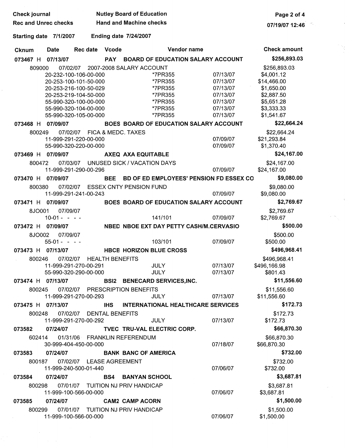| Check journal               |                           |                                                                                                                                                                             |                        | <b>Nutley Board of Education</b>                                                                      |                                                                                  | Page 2 of 4                                                                                                     |
|-----------------------------|---------------------------|-----------------------------------------------------------------------------------------------------------------------------------------------------------------------------|------------------------|-------------------------------------------------------------------------------------------------------|----------------------------------------------------------------------------------|-----------------------------------------------------------------------------------------------------------------|
| <b>Rec and Unrec checks</b> |                           |                                                                                                                                                                             |                        | <b>Hand and Machine checks</b>                                                                        |                                                                                  | 07/19/07 12:46                                                                                                  |
| Starting date 7/1/2007      |                           |                                                                                                                                                                             |                        | <b>Ending date 7/24/2007</b>                                                                          |                                                                                  |                                                                                                                 |
| Cknum                       | Date                      | Rec date                                                                                                                                                                    | Vcode                  | Vendor name                                                                                           |                                                                                  | <b>Check amount</b>                                                                                             |
| 073467 H                    | 07/13/07                  |                                                                                                                                                                             | <b>PAY</b>             | <b>BOARD OF EDUCATION SALARY ACCOUNT</b>                                                              |                                                                                  | \$256,893.03                                                                                                    |
| 809000                      | 07/02/07                  | 20-232-100-106-00-000<br>20-253-100-101-50-000<br>20-253-216-100-50-029<br>20-253-219-104-50-000<br>55-990-320-100-00-000<br>55-990-320-104-00-000<br>55-990-320-105-00-000 |                        | 2007-2008 SALARY ACCOUNT<br>*7PR355<br>*7PR355<br>*7PR355<br>*7PR355<br>*7PR355<br>*7PR355<br>*7PR355 | 07/13/07<br>07/13/07<br>07/13/07<br>07/13/07<br>07/13/07<br>07/13/07<br>07/13/07 | \$256,893.03<br>\$4,001.12<br>\$14,466.00<br>\$1,650.00<br>\$2,887.50<br>\$5,651.28<br>\$3,333.33<br>\$1,541.67 |
| 073468 H 07/09/07           |                           |                                                                                                                                                                             |                        | BOES BOARD OF EDUCATION SALARY ACCOUNT                                                                |                                                                                  | \$22,664.24                                                                                                     |
| 800249<br>073469 H          | 07/09/07                  | 07/02/07 FICA & MEDC. TAXES<br>11-999-291-220-00-000<br>55-990-320-220-00-000                                                                                               |                        | AXEQ AXA EQUITABLE                                                                                    | 07/09/07<br>07/09/07                                                             | \$22,664.24<br>\$21,293.84<br>\$1,370.40<br>\$24,167.00                                                         |
| 800472                      | 07/03/07                  |                                                                                                                                                                             |                        | UNUSED SICK / VACATION DAYS                                                                           |                                                                                  | \$24,167.00                                                                                                     |
|                             |                           | 11-999-291-290-00-296                                                                                                                                                       |                        |                                                                                                       | 07/09/07                                                                         | \$24,167.00                                                                                                     |
| 073470 H 07/09/07           |                           |                                                                                                                                                                             | BEE                    | BD OF ED EMPLOYEES' PENSION FD ESSEX CO                                                               |                                                                                  | \$9,080.00                                                                                                      |
| 800380                      | 07/02/07                  | 11-999-291-241-00-243                                                                                                                                                       |                        | <b>ESSEX CNTY PENSION FUND</b>                                                                        | 07/09/07                                                                         | \$9,080.00<br>\$9,080.00                                                                                        |
| 073471 H 07/09/07           |                           |                                                                                                                                                                             |                        | BOES BOARD OF EDUCATION SALARY ACCOUNT                                                                |                                                                                  | \$2,769.67                                                                                                      |
| 8JO001                      | 07/09/07<br>$10-01 - - -$ |                                                                                                                                                                             |                        | 141/101                                                                                               | 07/09/07                                                                         | \$2,769.67<br>\$2,769.67                                                                                        |
| 073472 H                    | 07/09/07                  |                                                                                                                                                                             |                        | NBED NBOE EXT DAY PETTY CASH/M.CERVASIO                                                               |                                                                                  | \$500.00                                                                                                        |
| 8JO002                      | 07/09/07<br>$55-01 - - -$ |                                                                                                                                                                             |                        | 103/101                                                                                               | 07/09/07                                                                         | \$500.00<br>\$500.00                                                                                            |
| 073473 H                    | 07/13/07                  |                                                                                                                                                                             |                        | <b>HBCE HORIZON BLUE CROSS</b>                                                                        |                                                                                  | \$496,968.41                                                                                                    |
| 800246                      | 07/02/07                  | 11-999-291-270-00-291<br>55-990-320-290-00-000                                                                                                                              | <b>HEALTH BENEFITS</b> | <b>JULY</b><br><b>JULY</b>                                                                            | 07/13/07<br>07/13/07                                                             | \$496,968.41<br>\$496,166.98<br>\$801.43                                                                        |
| 073474 H 07/13/07           |                           |                                                                                                                                                                             |                        | <b>BSI2 BENECARD SERVICES, INC.</b>                                                                   |                                                                                  | \$11,556.60                                                                                                     |
| 800245                      |                           | 11-999-291-270-00-293                                                                                                                                                       |                        | 07/02/07 PRESCRIPTION BENEFITS<br>JULY                                                                | 07/13/07                                                                         | \$11,556.60<br>\$11,556.60                                                                                      |
| 073475 H 07/13/07           |                           |                                                                                                                                                                             | <b>IHS</b>             | INTERNATIONAL HEALTHCARE SERVICES                                                                     |                                                                                  | \$172.73                                                                                                        |
| 800248                      |                           | 07/02/07 DENTAL BENEFITS<br>11-999-291-270-00-292                                                                                                                           |                        | <b>JULY</b>                                                                                           | 07/13/07                                                                         | \$172.73<br>\$172.73                                                                                            |
| 073582                      | 07/24/07                  |                                                                                                                                                                             |                        | TVEC TRU-VAL ELECTRIC CORP.                                                                           |                                                                                  | \$66,870.30                                                                                                     |
| 602414                      |                           | 30-999-404-450-00-000                                                                                                                                                       |                        | 01/31/06 FRANKLIN REFERENDUM                                                                          | 07/18/07                                                                         | \$66,870.30<br>\$66,870.30                                                                                      |
| 073583                      | 07/24/07                  |                                                                                                                                                                             |                        | <b>BANK BANC OF AMERICA</b>                                                                           |                                                                                  | \$732.00                                                                                                        |
| 800187                      |                           | 07/02/07 LEASE AGREEMENT<br>11-999-240-500-01-440                                                                                                                           |                        |                                                                                                       | 07/06/07                                                                         | \$732.00<br>\$732.00                                                                                            |
| 073584                      | 07/24/07                  |                                                                                                                                                                             |                        | <b>BS4 BANYAN SCHOOL</b>                                                                              |                                                                                  | \$3,687.81                                                                                                      |
| 800298                      |                           | 11-999-100-566-00-000                                                                                                                                                       |                        | 07/01/07 TUITION NJ PRIV HANDICAP                                                                     | 07/06/07                                                                         | \$3,687.81<br>\$3,687.81                                                                                        |
| 073585                      | 07/24/07                  |                                                                                                                                                                             |                        | <b>CAM2 CAMP ACORN</b>                                                                                |                                                                                  | \$1,500.00                                                                                                      |
| 800299                      |                           | 11-999-100-566-00-000                                                                                                                                                       |                        | 07/01/07 TUITION NJ PRIV HANDICAP                                                                     | 07/06/07                                                                         | \$1,500.00<br>\$1,500.00                                                                                        |

 $\gamma_{\infty}$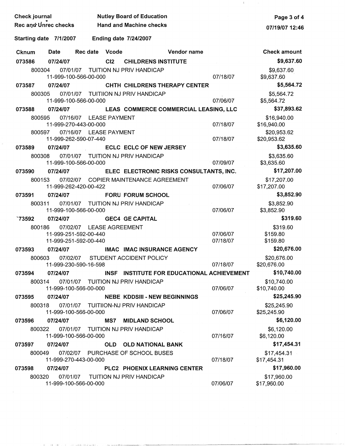| Check journal          |                                                                            | <b>Nutley Board of Education</b>      |                                            | Page 3 of 4                      |
|------------------------|----------------------------------------------------------------------------|---------------------------------------|--------------------------------------------|----------------------------------|
| Rec and Unrec checks   |                                                                            | <b>Hand and Machine checks</b>        |                                            | 07/19/07 12:46                   |
| Starting date 7/1/2007 |                                                                            | <b>Ending date 7/24/2007</b>          |                                            |                                  |
| Date<br><b>Cknum</b>   | <b>Rec date</b><br>Vcode                                                   |                                       | Vendor name                                | <b>Check amount</b>              |
| 073586<br>07/24/07     | C12                                                                        | <b>CHILDRENS INSTITUTE</b>            |                                            | \$9,637.60                       |
| 800304                 | 07/01/07 TUITION NJ PRIV HANDICAP<br>11-999-100-566-00-000                 |                                       | 07/18/07                                   | \$9,637.60<br>\$9,637.60         |
| 07/24/07<br>073587     |                                                                            | CHTH CHILDRENS THERAPY CENTER         |                                            | \$5,564.72                       |
| 800305                 | 07/01/07 TUITIION NJ PRIV HANDICAP<br>11-999-100-566-00-000                |                                       | 07/06/07                                   | \$5,564.72<br>\$5,564.72         |
| 073588<br>07/24/07     |                                                                            |                                       | LEAS COMMERCE COMMERCIAL LEASING, LLC      | \$37,893.62                      |
| 800595                 | 07/16/07 LEASE PAYMENT<br>11-999-270-443-00-000                            |                                       | 07/18/07                                   | \$16,940.00<br>\$16,940.00       |
| 800597                 | 07/16/07 LEASE PAYMENT<br>11-999-262-590-07-440                            |                                       | 07/18/07                                   | \$20,953.62<br>\$20,953.62       |
| 07/24/07<br>073589     |                                                                            | <b>ECLC ECLC OF NEW JERSEY</b>        |                                            | \$3,635.60                       |
| 800308                 | 07/01/07 TUITION NJ PRIV HANDICAP<br>11-999-100-566-00-000                 |                                       | 07/09/07                                   | \$3,635.60<br>\$3,635.60         |
| 07/24/07<br>073590     |                                                                            |                                       | ELEC ELECTRONIC RISKS CONSULTANTS, INC.    | \$17,207.00                      |
| 800153                 | 11-999-262-420-00-422                                                      | 07/02/07 COPIER MAINTENANCE AGREEMENT | 07/06/07                                   | \$17,207.00<br>\$17,207.00       |
| 07/24/07<br>073591     |                                                                            | <b>FORU FORUM SCHOOL</b>              |                                            | \$3,852.90                       |
| 800311                 | 07/01/07 TUITION NJ PRIV HANDICAP<br>11-999-100-566-00-000                 |                                       | 07/06/07                                   | \$3,852.90<br>\$3,852.90         |
| `73592<br>07/24/07     |                                                                            | <b>GEC4 GE CAPITAL</b>                |                                            | \$319.60                         |
| 800186                 | 07/02/07 LEASE AGREEMENT<br>11-999-251-592-00-440<br>11-999-251-592-00-440 |                                       | 07/06/07<br>07/18/07                       | \$319.60<br>\$159.80<br>\$159.80 |
| 07/24/07<br>073593     |                                                                            | <b>IMAC IMAC INSURANCE AGENCY</b>     |                                            | \$20,676.00                      |
| 800603                 | 07/02/07<br>11-999-230-590-16-598                                          | <b>STUDENT ACCIDENT POLICY</b>        | 07/18/07                                   | \$20,676.00<br>\$20,676.00       |
| 073594<br>07/24/07     |                                                                            |                                       | INSF INSTITUTE FOR EDUCATIONAL ACHIEVEMENT | \$10,740.00                      |
| 800314                 | 07/01/07 TUITION NJ PRIV HANDICAP<br>11-999-100-566-00-000                 |                                       | 07/06/07                                   | \$10,740.00<br>\$10,740.00       |
| 07/24/07<br>073595     |                                                                            | <b>NEBE KDDSIII - NEW BEGINNINGS</b>  |                                            | \$25,245.90                      |
| 800318                 | 07/01/07 TUITIION-NJ PRIV HANDICAP<br>11-999-100-566-00-000                |                                       | 07/06/07                                   | \$25,245.90<br>\$25,245.90       |
| 07/24/07<br>073596     | <b>MS7</b>                                                                 | <b>MIDLAND SCHOOL</b>                 |                                            | \$6,120.00                       |
| 800322                 | 07/01/07 TUITION NJ PRIV HANDICAP<br>11-999-100-566-00-000                 |                                       | 07/16/07                                   | \$6,120.00<br>\$6,120.00         |
| 07/24/07<br>073597     |                                                                            | OLD OLD NATIONAL BANK                 |                                            | \$17,454.31                      |
| 800049                 | 11-999-270-443-00-000                                                      | 07/02/07 PURCHASE OF SCHOOL BUSES     | 07/18/07                                   | \$17,454.31<br>\$17,454.31       |
| 073598<br>07/24/07     |                                                                            | PLC2 PHOENIX LEARNING CENTER          |                                            | \$17,960.00                      |
| 800320                 | 07/01/07<br>11-999-100-566-00-000                                          | TUITION NJ PRIV HANDICAP              | 07/06/07                                   | \$17,960.00<br>\$17,960.00       |

 $\hat{\theta}$ 

 $\mathbf{1}$